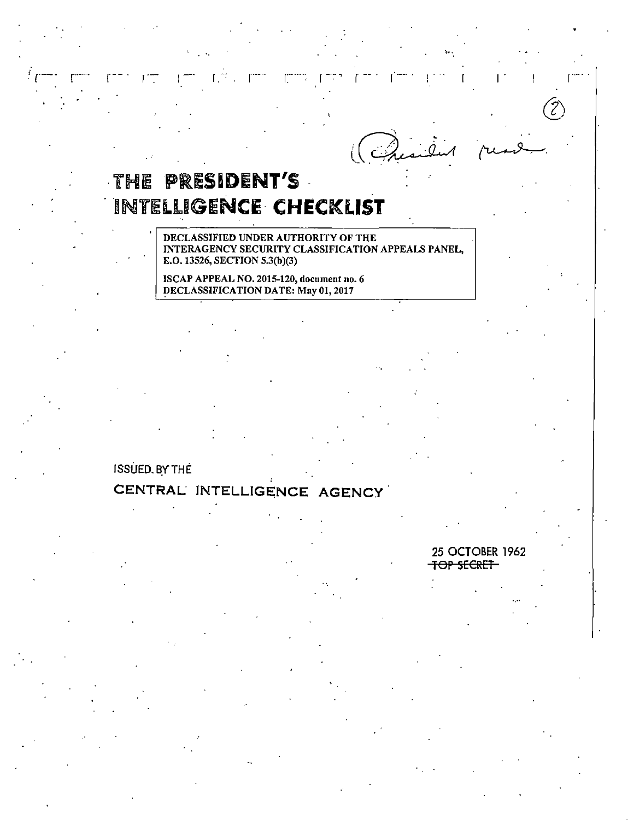(Quaile)

...

 $\Gamma$  . I . I . I .

# ·THE PRESIDENT'S **INTELLIGENCE CHECKLIST**

. •.

DECLASSIFIED UNDER AUTHORITY OF THE INTERAGENCY SECURITY CLASSIFICATION APPEALS PANEL, E.0.13526, SECTION 5.3(b)(3)

ISCAP APPEAL NO. 2015-120, document no. 6 DECLASSIFICATION DATE: May 01, 2017

ISSUED. BY THE

# CENTRAL INTELLIGENCE AGENCY

25 OCTOBER 1962 TOP SECRET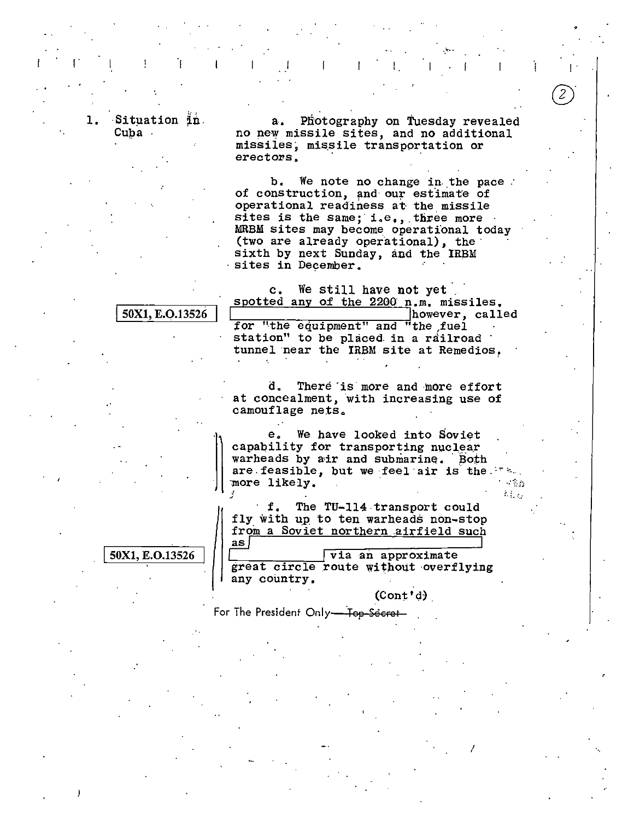Situation in. Cuba

50X1, E.O.13526

50X1, E.O.13526

Photography on Tuesday revealed  $a_{\bullet}$ no new missile sites, and no additional missiles, missile transportation or erectors.

b. We note no change in the pace. of construction, and our estimate of operational readiness at the missile sites is the same; i.e., three more MRBM sites may become operational today (two are already operational), the sixth by next Sunday, and the IRBM sites in December.

We still have not yet  $\mathbf{c}$ . spotted any of the 2200 n.m. missiles. however, called

for "the equipment" and "the fuel station" to be placed in a railroad tunnel near the IRBM site at Remedios.

There is more and more effort d. at concealment, with increasing use of camouflage nets.

We have looked into Soviet е. capability for transporting nuclear warheads by air and submarine. Both are feasible, but we feel air is the. more likely.

The TU-114 transport could f. fly with up to ten warheads non-stop from a Soviet northern airfield such  $\mathsf{as}$ 

 $\sqrt{v}$  an approximate great circle route without overflying any country.

 $(Cont'd)$ 

 $\sim\sqrt{g}$  $\hat{C}$  ,  $\hat{C}$ 

For The President Only-Top-Secret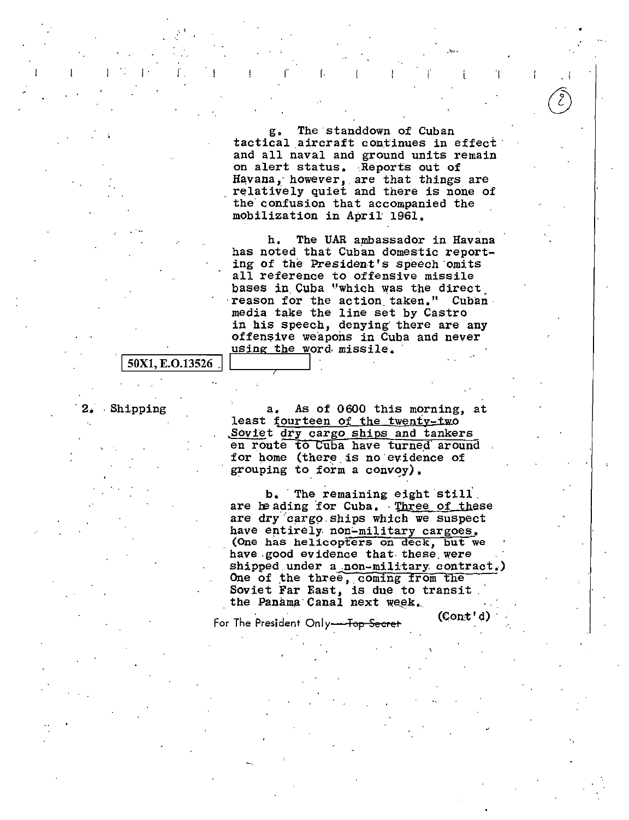g, The standdown of Cuban tactical aircraft continues in effect and all naval and ground units remain on alert status. ·Reports out of Havana, however, are that things are relatively quiet and there is none of the confusion that accompanied the mobilization in April· 1961,

 $\Gamma$  is a function of the set of the set of the set of the set of the set of the set of the set of the set of the set of the set of the set of the set of the set of the set of the set of the set of the set of the set of t

h, The UAR ambassador in Havana has noted that Cuban domestic reporting of the President's speech omits all reference to offensive missile bases in Cuba "which was the direct reason for the action taken." Cuban media take the line set by Castro in his speech, denying there are any offensive weapons in Cuba and never using the word missile.

#### 50X1, E.O.13526

Shipping a. As of 0600 this morning, at least fourteen of the twenty-two Soviet dry cargo ships and tankers en route to Cuba have turned around for home (there.is no·evidence of grouping to form a convoy).

> b. The remaining eight still. are heading for Cuba. Three of these are dry cargo ships which we suspect have entirely non-military cargoes. (One has helicopters on deck, but we have good evidence that these were shipped under a non-military contract.) One of the three, coming from the Soviet Far East, is due to transit.<br>the Panama Canal next week.

For The President Only<del> Top Secret</del> (Cont'd)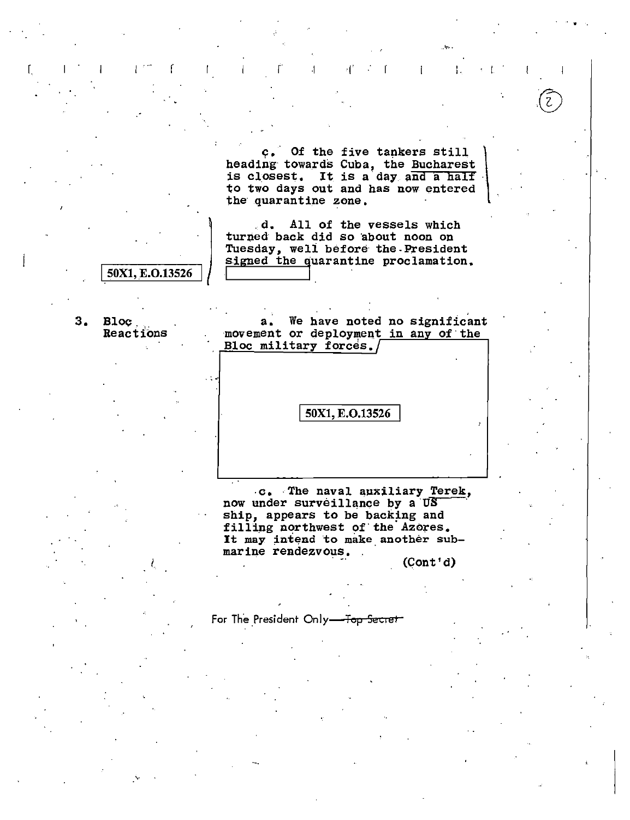c. Of the five tankers still heading towards Cuba, the Bucharest<br>is closest. It is a day and a half to two days out and has now entered the quarantine zone.

 $\boldsymbol{\gamma}[^t$ 

 $\mathbf{f}$ 

 $\mathbf{I}$ 

ł.

 $\overline{\mathcal{L}}$ 

 $\overline{1}$ 

 $\mathbf{d}_{\bullet}$ All of the vessels which turned back did so about noon on Tuesday, well before the President signed the quarantine proclamation.

50X1, E.O.13526

 $3<sub>1</sub>$ **Bloc** Reactions

We have noted no significant  $a_{\bullet}$ movement or deployment in any of the Bloc military forces.

50X1, E.O.13526

c. The naval auxiliary Terek, now under surveillance by a US ship, appears to be backing and filling northwest of the Azores. It may intend to make another submarine rendezvous.

 $(Cont'd)$ 

For The President Only-Top Secret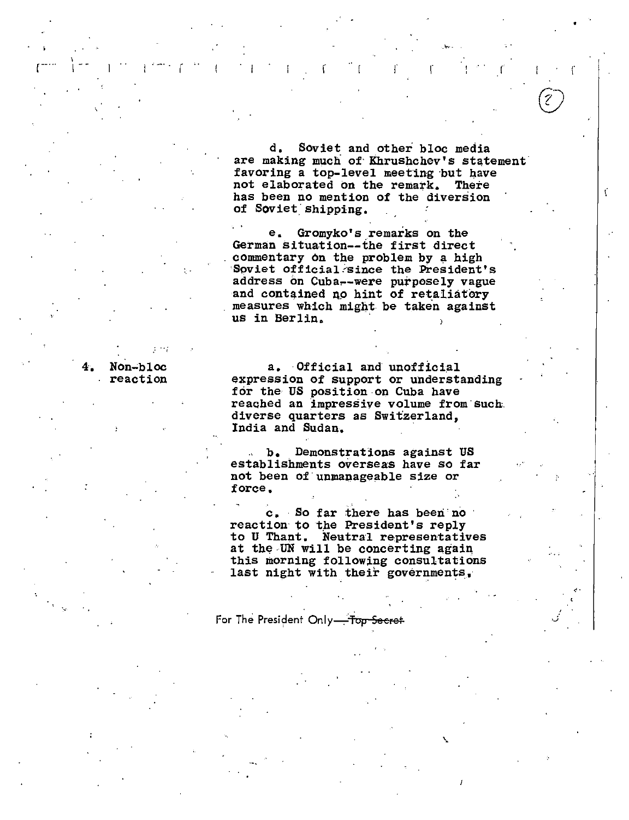d, Soviet and other bloc media are making much of· Khrushchev's statement· favoring a top-level meeting but have not elaborated on the remark. There has been no mention of the diversion of Soviet shipping.

In the result of the set of the set of the set of the set of the set of the set of the set of the set of the set of the set of the set of the set of the set of the set of the set of the set of the set of the set of the se

.......

•

ť

e, Gromyko's remarks on the German situation--the first direct commentary on the problem by a high Soviet official since the President's address on Cuba--were purposely vague and contained no hint of retaliatory measures which might be taken against us in Berlin.

### 4, Non-bloc reaction

r--. .. \

a. Official and unofficial expression of support or understanding for the US position.on Cuba have reached an impressive volume from such. diverse quarters as Switzerland, India and Sudan.

b, Demonstrations against US establishments overseas have so far not been of unmanageable size or force,

c, So far there has been no reaction to the President's reply to U Thant. Neutral representatives at the UN will be concerting again this morning following consultations duct not high concern governments,

For The President Only-Top Secret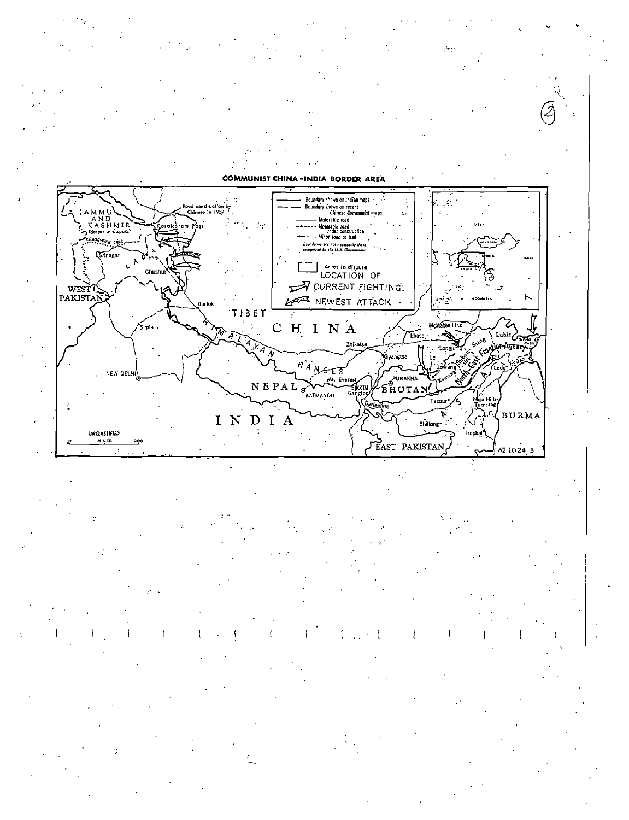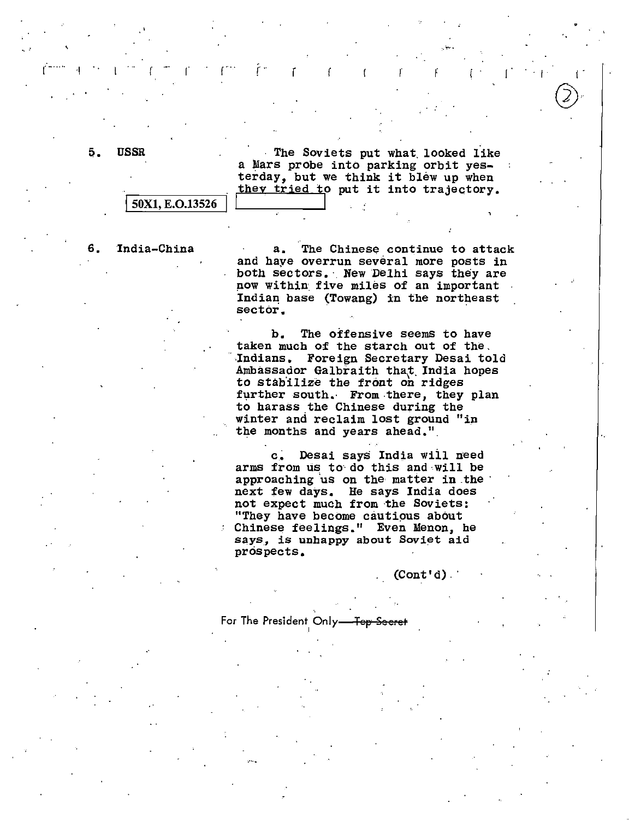..

5. USSR The Soviets put what looked like a Mars probe into parking orbit yesterday, but we think it blew up when  $\frac{1}{50}$  they tried to put it into trajectory.

 $r = r - r - r$ 

6. India-China a. The Chinese continue to attack and haye overrun several more posts in both sectors. New Delhi says they are µow within. five miles of an important Indiaq base (Towang) in the northeast sector.

> b. The offensive seems to have taken much of the starch out of the. Indians. Foreign Secretary Desai told Ambassador Galbraith that India hopes to stab'ilize the front on ridges further south. From there, they plan to harass the Chinese during the winter and reclaim lost ground "in the months and years ahead.".

c. Desai says India wiil need arms from us to do this and will be approaching us on the matter in the next few days. He says India does not expect much from the Soviets: "They have become cautious about Chinese feelings." Even Menon, he says, is unhappy about Soviet aid prospects.

 $(Cont'd)$ 

For The President Only-For-I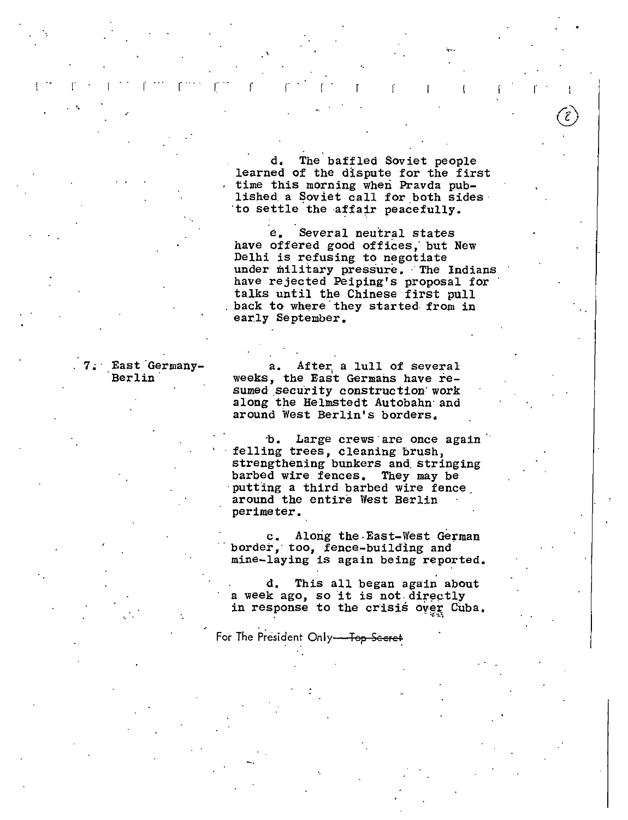d, The baffled Soviet people learned of the dispute for the first time this morning when Pravda published a Soviet call for both sides to settle the affair peacefully.

e, Several neutral states have offered good offices; but New Delhi is refusing to negotiate under military pressure. The Indians have rejected Peiping's proposal for talks until the Chinese first pull<br>back to where they started from in early September.

|  |  | 7. East Germany- |  |
|--|--|------------------|--|
|  |  | Berlin           |  |

 $\mathbb{E} \mathbb{P}^{\mathbb{P}} = \mathbb{P} \left[ \mathbb{P} \left[ \mathbb{P} \left[ \mathbb{P} \left[ \mathbb{P} \left[ \mathbb{P} \left[ \mathbb{P} \left[ \mathbb{P} \left[ \mathbb{P} \left[ \mathbb{P} \left[ \mathbb{P} \left[ \mathbb{P} \left[ \mathbb{P} \left[ \mathbb{P} \left[ \mathbb{P} \left[ \mathbb{P} \left[ \mathbb{P} \left[ \mathbb{P} \left[ \mathbb{P} \left[ \mathbb{P} \left[ \mathbb{P} \left[ \mathbb{P} \left[ \math$ 

'·

 $a.$  After, a lull of several weeks, the East Germans have resumed security construction work along the Helmstedt Autobahn and around West Berlin's borders,

b. Large crews are once again felling trees, cleaning brush, strengthening bunkers and stringing<br>barbed wire fences. They may be putting a third barbed wire fence, around the entire West Berlin perimeter,

c. Along the East-West German border, too, fence-building and mine-laying is again being reported.

d. This all began again about a week ago, so it is not directly in response to the crisis over Cuba.

For The President Only-Top Secret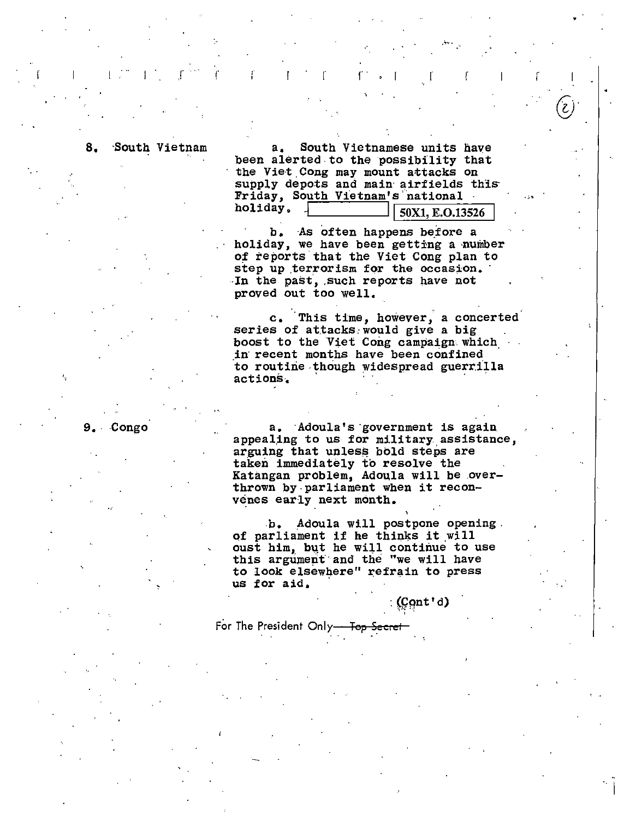South Vietnam a. South Vietnamese units have been alerted to the possibility that the Viet Cong may mount attacks on supply depots and main airfields this Friday, South Vietnam's national<br>holiday,  $\sqrt{\frac{S_0 N_1 + S_2 N_2}{S_1 N_1 + S_2}}$ 50X1, E.O.13526

, and it is the set of the set of  $\mathcal{F}^{\mathcal{A}}$  ,  $\mathcal{F}^{\mathcal{A}}$  ,  $\mathcal{F}^{\mathcal{A}}$  ,  $\mathcal{F}^{\mathcal{A}}$  ,  $\mathcal{F}^{\mathcal{A}}$  ,  $\mathcal{F}^{\mathcal{A}}$  ,  $\mathcal{F}^{\mathcal{A}}$  ,  $\mathcal{F}^{\mathcal{A}}$  ,  $\mathcal{F}^{\mathcal{A}}$  ,  $\mathcal{F}^{\mathcal{A}}$  ,  $\mathcal{F}$ 

b. As often happens before a holiday, we have been getting a number of reports that the Viet Cong plan to step up terrorism for the occasion. In the past, such reports have not proved out too well,

c, This time, however, a concerted series of attacks would give a big boost to the Viet Cong campaign. which. in recent months have been confined to routine though widespread guerrilla<br>actions

9. Congo a, Adoula's government is again appealing to us for military assistance, arguing that unless bold steps are taken immediately to resolve the Katangan problem, Adoula will be .overthrown by-parliament when it reconvenes early next month.

> b. Adoula will postpone opening. of parliament if he thinks it will oust him, but he will continue to use this argumept·and the "we will have to look elsewhere" refrain to press us for aid.

> > : $($ 0nt'd)  $)$

For The President Only<del> - Top</del>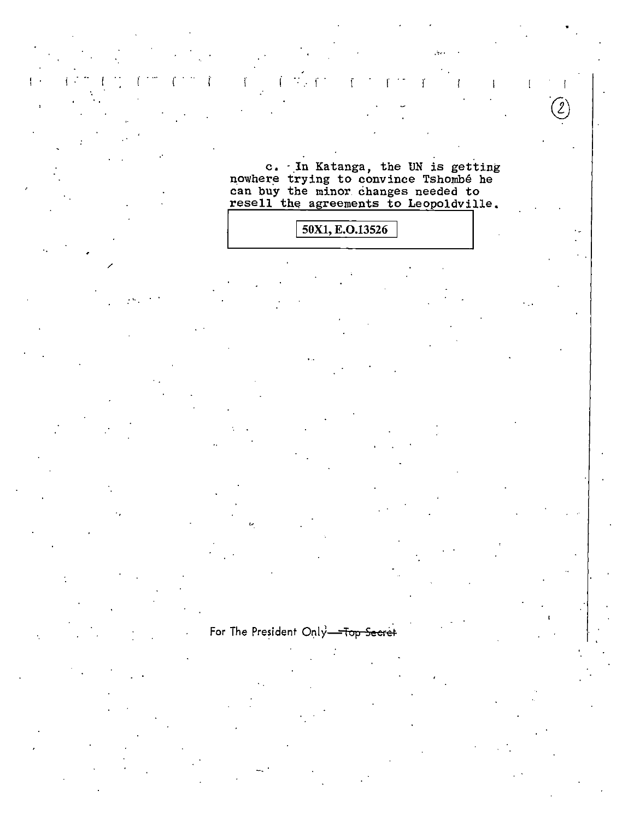c. In Katanga, the UN is getting<br>nowhere trying to convince Tshombé he<br>can buy the minor changes needed to<br>resell the agreements to Leopoldville.

# 50X1, E.O.13526

## For The President Only-Top Secret

 $\mathbf{I}$